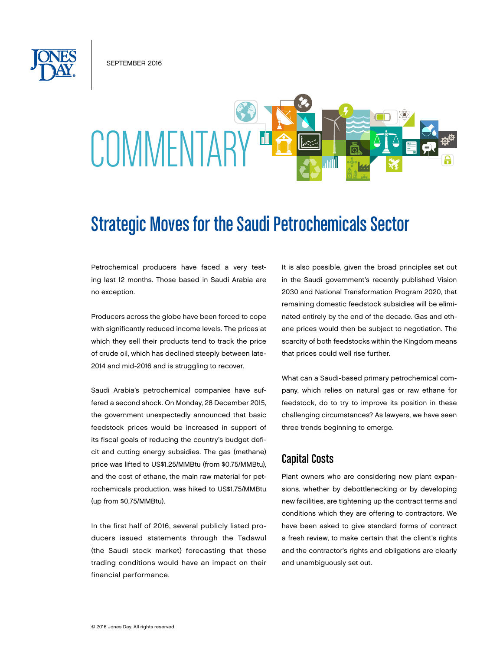SEPTEMBER 2016

# COMMENTAF

# Strategic Moves for the Saudi Petrochemicals Sector

Petrochemical producers have faced a very testing last 12 months. Those based in Saudi Arabia are no exception.

Producers across the globe have been forced to cope with significantly reduced income levels. The prices at which they sell their products tend to track the price of crude oil, which has declined steeply between late-2014 and mid-2016 and is struggling to recover.

Saudi Arabia's petrochemical companies have suffered a second shock. On Monday, 28 December 2015, the government unexpectedly announced that basic feedstock prices would be increased in support of its fiscal goals of reducing the country's budget deficit and cutting energy subsidies. The gas (methane) price was lifted to US\$1.25/MMBtu (from \$0.75/MMBtu), and the cost of ethane, the main raw material for petrochemicals production, was hiked to US\$1.75/MMBtu (up from \$0.75/MMBtu).

In the first half of 2016, several publicly listed producers issued statements through the Tadawul (the Saudi stock market) forecasting that these trading conditions would have an impact on their financial performance.

It is also possible, given the broad principles set out in the Saudi government's recently published Vision 2030 and National Transformation Program 2020, that remaining domestic feedstock subsidies will be eliminated entirely by the end of the decade. Gas and ethane prices would then be subject to negotiation. The scarcity of both feedstocks within the Kingdom means that prices could well rise further.

What can a Saudi-based primary petrochemical company, which relies on natural gas or raw ethane for feedstock, do to try to improve its position in these challenging circumstances? As lawyers, we have seen three trends beginning to emerge.

# Capital Costs

Plant owners who are considering new plant expansions, whether by debottlenecking or by developing new facilities, are tightening up the contract terms and conditions which they are offering to contractors. We have been asked to give standard forms of contract a fresh review, to make certain that the client's rights and the contractor's rights and obligations are clearly and unambiguously set out.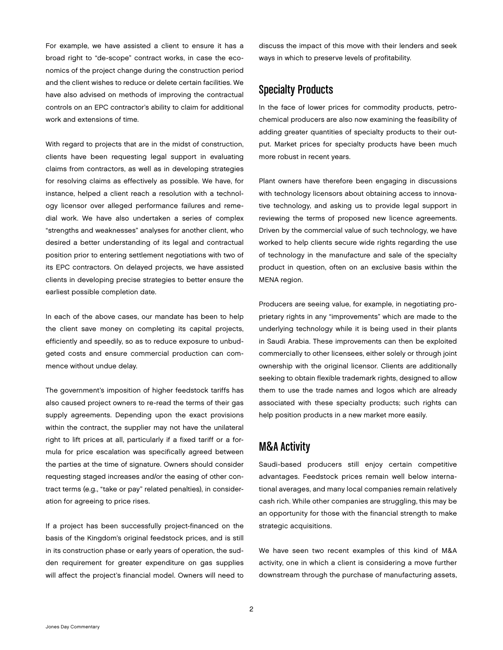For example, we have assisted a client to ensure it has a broad right to "de-scope" contract works, in case the economics of the project change during the construction period and the client wishes to reduce or delete certain facilities. We have also advised on methods of improving the contractual controls on an EPC contractor's ability to claim for additional work and extensions of time.

With regard to projects that are in the midst of construction, clients have been requesting legal support in evaluating claims from contractors, as well as in developing strategies for resolving claims as effectively as possible. We have, for instance, helped a client reach a resolution with a technology licensor over alleged performance failures and remedial work. We have also undertaken a series of complex "strengths and weaknesses" analyses for another client, who desired a better understanding of its legal and contractual position prior to entering settlement negotiations with two of its EPC contractors. On delayed projects, we have assisted clients in developing precise strategies to better ensure the earliest possible completion date.

In each of the above cases, our mandate has been to help the client save money on completing its capital projects, efficiently and speedily, so as to reduce exposure to unbudgeted costs and ensure commercial production can commence without undue delay.

The government's imposition of higher feedstock tariffs has also caused project owners to re-read the terms of their gas supply agreements. Depending upon the exact provisions within the contract, the supplier may not have the unilateral right to lift prices at all, particularly if a fixed tariff or a formula for price escalation was specifically agreed between the parties at the time of signature. Owners should consider requesting staged increases and/or the easing of other contract terms (e.g., "take or pay" related penalties), in consideration for agreeing to price rises.

If a project has been successfully project-financed on the basis of the Kingdom's original feedstock prices, and is still in its construction phase or early years of operation, the sudden requirement for greater expenditure on gas supplies will affect the project's financial model. Owners will need to discuss the impact of this move with their lenders and seek ways in which to preserve levels of profitability.

# Specialty Products

In the face of lower prices for commodity products, petrochemical producers are also now examining the feasibility of adding greater quantities of specialty products to their output. Market prices for specialty products have been much more robust in recent years.

Plant owners have therefore been engaging in discussions with technology licensors about obtaining access to innovative technology, and asking us to provide legal support in reviewing the terms of proposed new licence agreements. Driven by the commercial value of such technology, we have worked to help clients secure wide rights regarding the use of technology in the manufacture and sale of the specialty product in question, often on an exclusive basis within the MENA region.

Producers are seeing value, for example, in negotiating proprietary rights in any "improvements" which are made to the underlying technology while it is being used in their plants in Saudi Arabia. These improvements can then be exploited commercially to other licensees, either solely or through joint ownership with the original licensor. Clients are additionally seeking to obtain flexible trademark rights, designed to allow them to use the trade names and logos which are already associated with these specialty products; such rights can help position products in a new market more easily.

# M&A Activity

Saudi-based producers still enjoy certain competitive advantages. Feedstock prices remain well below international averages, and many local companies remain relatively cash rich. While other companies are struggling, this may be an opportunity for those with the financial strength to make strategic acquisitions.

We have seen two recent examples of this kind of M&A activity, one in which a client is considering a move further downstream through the purchase of manufacturing assets,